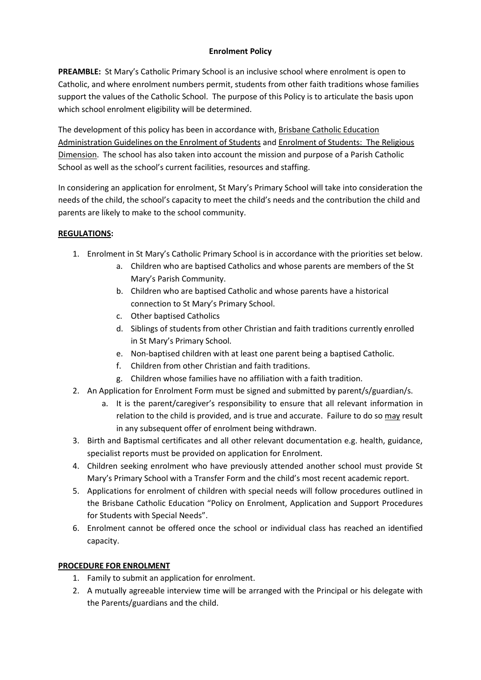## **Enrolment Policy**

**PREAMBLE:** St Mary's Catholic Primary School is an inclusive school where enrolment is open to Catholic, and where enrolment numbers permit, students from other faith traditions whose families support the values of the Catholic School. The purpose of this Policy is to articulate the basis upon which school enrolment eligibility will be determined.

The development of this policy has been in accordance with, Brisbane Catholic Education Administration Guidelines on the Enrolment of Students and Enrolment of Students: The Religious Dimension. The school has also taken into account the mission and purpose of a Parish Catholic School as well as the school's current facilities, resources and staffing.

In considering an application for enrolment, St Mary's Primary School will take into consideration the needs of the child, the school's capacity to meet the child's needs and the contribution the child and parents are likely to make to the school community.

## **REGULATIONS:**

- 1. Enrolment in St Mary's Catholic Primary School is in accordance with the priorities set below.
	- a. Children who are baptised Catholics and whose parents are members of the St Mary's Parish Community.
	- b. Children who are baptised Catholic and whose parents have a historical connection to St Mary's Primary School.
	- c. Other baptised Catholics
	- d. Siblings of students from other Christian and faith traditions currently enrolled in St Mary's Primary School.
	- e. Non-baptised children with at least one parent being a baptised Catholic.
	- f. Children from other Christian and faith traditions.
	- g. Children whose families have no affiliation with a faith tradition.
- 2. An Application for Enrolment Form must be signed and submitted by parent/s/guardian/s.
	- a. It is the parent/caregiver's responsibility to ensure that all relevant information in relation to the child is provided, and is true and accurate. Failure to do so may result in any subsequent offer of enrolment being withdrawn.
- 3. Birth and Baptismal certificates and all other relevant documentation e.g. health, guidance, specialist reports must be provided on application for Enrolment.
- 4. Children seeking enrolment who have previously attended another school must provide St Mary's Primary School with a Transfer Form and the child's most recent academic report.
- 5. Applications for enrolment of children with special needs will follow procedures outlined in the Brisbane Catholic Education "Policy on Enrolment, Application and Support Procedures for Students with Special Needs".
- 6. Enrolment cannot be offered once the school or individual class has reached an identified capacity.

## **PROCEDURE FOR ENROLMENT**

- 1. Family to submit an application for enrolment.
- 2. A mutually agreeable interview time will be arranged with the Principal or his delegate with the Parents/guardians and the child.